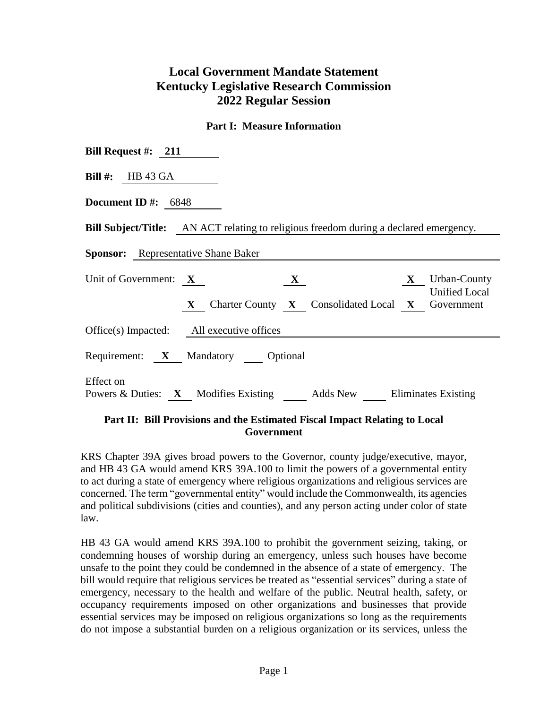# **Local Government Mandate Statement Kentucky Legislative Research Commission 2022 Regular Session**

#### **Part I: Measure Information**

| Bill Request #: $211$                                                                                                                          |
|------------------------------------------------------------------------------------------------------------------------------------------------|
| <b>Bill #:</b> HB 43 GA                                                                                                                        |
| Document ID #: $6848$                                                                                                                          |
| <b>Bill Subject/Title:</b> AN ACT relating to religious freedom during a declared emergency.                                                   |
| <b>Sponsor:</b> Representative Shane Baker                                                                                                     |
| Unit of Government: $X$<br><b>X</b> Urban-County<br>$\mathbf{X}$<br><b>Unified Local</b><br>X Charter County X Consolidated Local X Government |
| Office(s) Impacted: All executive offices                                                                                                      |
| Requirement: X Mandatory Optional                                                                                                              |
| Effect on<br>Powers & Duties: X Modifies Existing Adds New Eliminates Existing                                                                 |

### **Part II: Bill Provisions and the Estimated Fiscal Impact Relating to Local Government**

KRS Chapter 39A gives broad powers to the Governor, county judge/executive, mayor, and HB 43 GA would amend KRS 39A.100 to limit the powers of a governmental entity to act during a state of emergency where religious organizations and religious services are concerned. The term "governmental entity" would include the Commonwealth, its agencies and political subdivisions (cities and counties), and any person acting under color of state law.

HB 43 GA would amend KRS 39A.100 to prohibit the government seizing, taking, or condemning houses of worship during an emergency, unless such houses have become unsafe to the point they could be condemned in the absence of a state of emergency. The bill would require that religious services be treated as "essential services" during a state of emergency, necessary to the health and welfare of the public. Neutral health, safety, or occupancy requirements imposed on other organizations and businesses that provide essential services may be imposed on religious organizations so long as the requirements do not impose a substantial burden on a religious organization or its services, unless the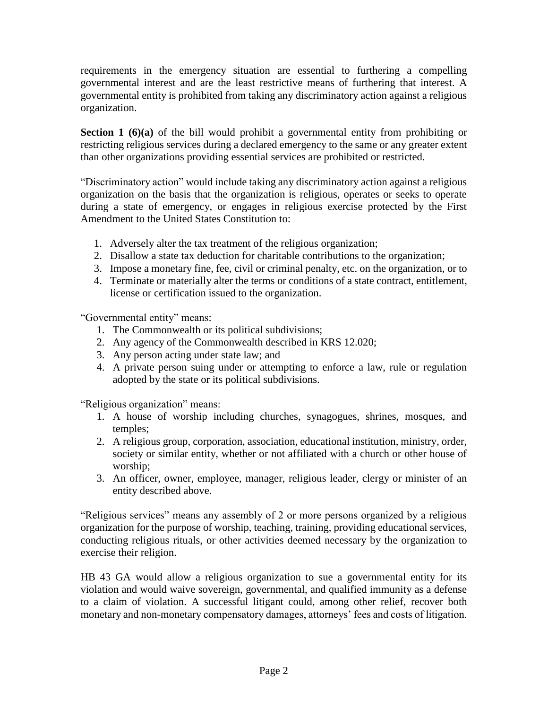requirements in the emergency situation are essential to furthering a compelling governmental interest and are the least restrictive means of furthering that interest. A governmental entity is prohibited from taking any discriminatory action against a religious organization.

**Section 1 (6)(a)** of the bill would prohibit a governmental entity from prohibiting or restricting religious services during a declared emergency to the same or any greater extent than other organizations providing essential services are prohibited or restricted.

"Discriminatory action" would include taking any discriminatory action against a religious organization on the basis that the organization is religious, operates or seeks to operate during a state of emergency, or engages in religious exercise protected by the First Amendment to the United States Constitution to:

- 1. Adversely alter the tax treatment of the religious organization;
- 2. Disallow a state tax deduction for charitable contributions to the organization;
- 3. Impose a monetary fine, fee, civil or criminal penalty, etc. on the organization, or to
- 4. Terminate or materially alter the terms or conditions of a state contract, entitlement, license or certification issued to the organization.

"Governmental entity" means:

- 1. The Commonwealth or its political subdivisions;
- 2. Any agency of the Commonwealth described in KRS 12.020;
- 3. Any person acting under state law; and
- 4. A private person suing under or attempting to enforce a law, rule or regulation adopted by the state or its political subdivisions.

"Religious organization" means:

- 1. A house of worship including churches, synagogues, shrines, mosques, and temples;
- 2. A religious group, corporation, association, educational institution, ministry, order, society or similar entity, whether or not affiliated with a church or other house of worship;
- 3. An officer, owner, employee, manager, religious leader, clergy or minister of an entity described above.

"Religious services" means any assembly of 2 or more persons organized by a religious organization for the purpose of worship, teaching, training, providing educational services, conducting religious rituals, or other activities deemed necessary by the organization to exercise their religion.

HB 43 GA would allow a religious organization to sue a governmental entity for its violation and would waive sovereign, governmental, and qualified immunity as a defense to a claim of violation. A successful litigant could, among other relief, recover both monetary and non-monetary compensatory damages, attorneys' fees and costs of litigation.